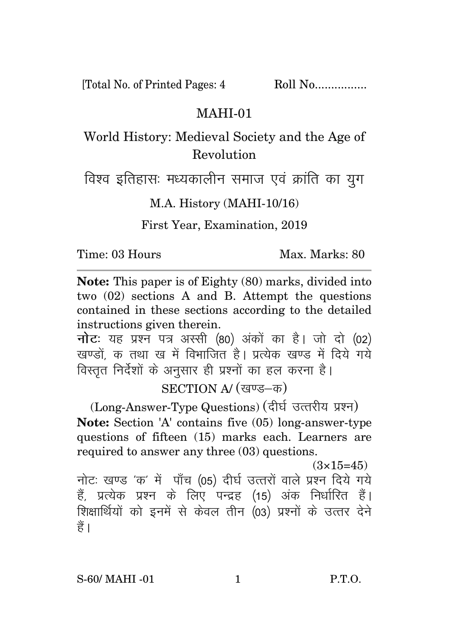[Total No. of Printed Pages: 4 Roll No.................

## MAHI-01

## World History: Medieval Society and the Age of Revolution

विश्व इतिहासः मध्यकालीन समाज एवं क्रांति का युग

M.A. History (MAHI-10/16)

First Year, Examination, 2019

Time: 03 Hours Max. Marks: 80

**Note:** This paper is of Eighty (80) marks, divided into two (02) sections A and B. Attempt the questions contained in these sections according to the detailed instructions given therein.

**नोट**: यह प्रश्न पत्र अस्सी (80) अंकों का है। जो दो (02) खण्डों, क तथा ख में विभाजित है। प्रत्येक खण्ड में दिये गये विस्तत निर्देशों के अनुसार ही प्रश्नों का हल करना है।

SECTION A/ (खण्ड-क)

(Long-Answer-Type Questions) (दीर्घ उत्तरीय प्रश्न) **Note:** Section 'A' contains five (05) long-answer-type questions of fifteen (15) marks each. Learners are required to answer any three (03) questions.

 $(3\times15=45)$ 

नोटः खण्ड 'क' में पाँच (05) दीर्घ उत्तरों वाले प्रश्न दिये गये हैं, प्रत्येक प्रश्न के लिए पन्द्रह (15) अंक निर्धारित हैं। शिक्षार्थियों को इनमें से केवल तीन (03) प्रश्नों के उत्तर देने हैं।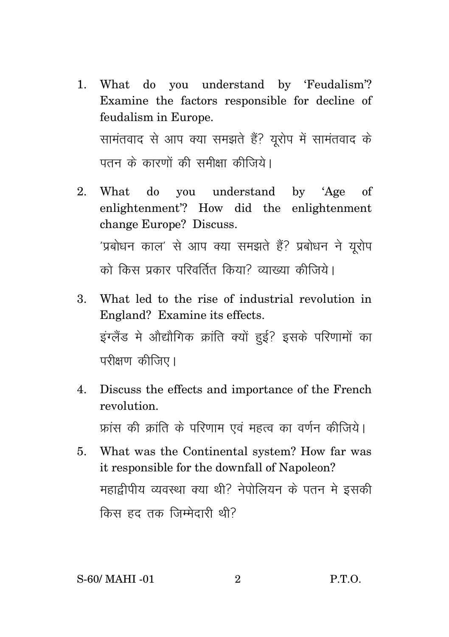- 1. What do you understand by 'Feudalism'? Examine the factors responsible for decline of feudalism in Europe. सामंतवाद से आप क्या समझते हैं? यूरोप में सामंतवाद के पतन के कारणों की समीक्षा कीजिये।
- 2. What do you understand by 'Age of enlightenment'? How did the enlightenment change Europe? Discuss. 'प्रबोधन काल' से आप क्या समझते हैं? प्रबोधन ने यूरोप को किस प्रकार परिवर्तित किया<sup>?</sup> व्याख्या कीजिये।
- 3. What led to the rise of industrial revolution in England? Examine its effects. इंग्लैंड में औद्यौगिक क्रांति क्यों हुई? इसके परिणामों का परीक्षण कीजिए।
- 4. Discuss the effects and importance of the French revolution. फ्रांस की क्रांति के परिणाम एवं महत्व का वर्णन कीजिये।
- 5. What was the Continental system? How far was it responsible for the downfall of Napoleon? महाद्रीपीय व्यवस्था क्या थी? नेपोलियन के पतन मे इसकी किस हुद्द तक जिम्मेदारी थी?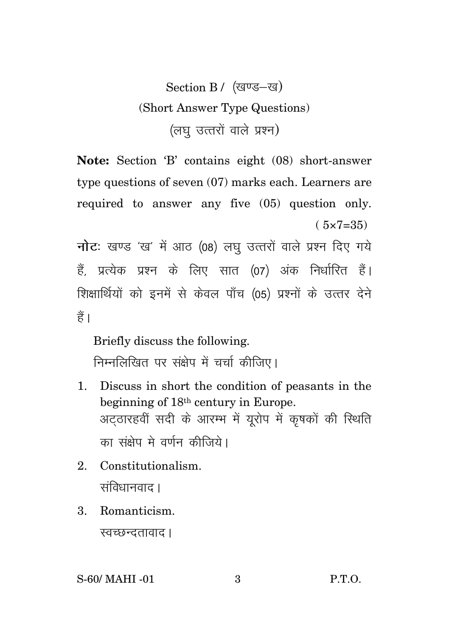## Section B / (खण्ड-ख) (Short Answer Type Questions) (लघ उत्तरों वाले प्रश्न)

Note: Section 'B' contains eight (08) short-answer type questions of seven  $(07)$  marks each. Learners are required to answer any five (05) question only.  $(5x7=35)$ 

नोट: खण्ड 'ख' में आठ (08) लघु उत्तरों वाले प्रश्न दिए गये हैं, प्रत्येक प्रश्न के लिए सात (07) अंक निर्धारित हैं। शिक्षार्थियों को इनमें से केवल पाँच (05) प्रश्नों के उत्तर देने हैं।

Briefly discuss the following. निम्नलिखित पर संक्षेप में चर्चा कीजिए।

- 1. Discuss in short the condition of peasants in the beginning of 18<sup>th</sup> century in Europe. अटठारहवीं सदी के आरम्भ में यूरोप में कृषकों की स्थिति का संक्षेप मे वर्णन कीजिये।
- 2. Constitutionalism. संविधानवाद ।
- $\mathbf{3}$ . Romanticism.

स्वच्छन्दतावाद ।

 $P.T.O.$